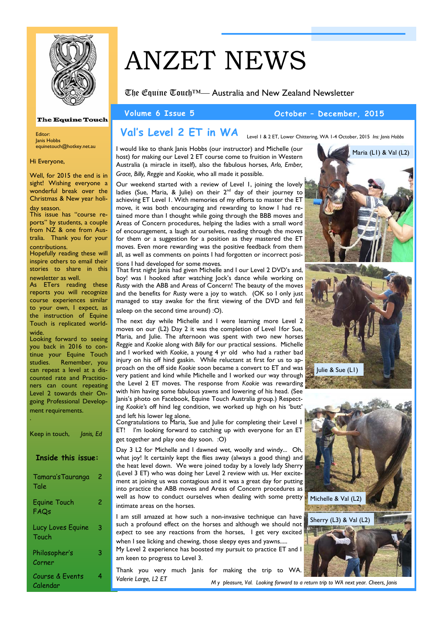

## **The Equine Touch**

Editor: Janis Hobbs equinetouch@hotkey.net.au

#### Hi Everyone,

Well, for 2015 the end is in sight! Wishing everyone a wonderful break over the Christmas & New year holi-

#### day season.

This issue has "course reports" by students, a couple from NZ & one from Australia. Thank you for your contributions.

Hopefully reading these will inspire others to email their stories to share in this newsletter as well.

As ETers reading these reports you will recognize course experiences similar to your own, I expect, as the instruction of Equine Touch is replicated worldwide.

Looking forward to seeing you back in 2016 to continue your Equine Touch studies. Remember, you can repeat a level at a discounted rate and Practitioners can count repeating Level 2 towards their Ongoing Professional Development requirements. .

| Keep in touch,<br>Janis, Ed |   |
|-----------------------------|---|
| <b>Inside this issue:</b>   |   |
| Tamara's Tauranga<br>Tale   | 2 |
| <b>Equine Touch</b><br>FAQs | 2 |
| Lucy Loves Equine<br>Touch  | 3 |
| Philosopher's<br>Corner     | 3 |
| Course & Events<br>Calendar | 4 |

# ANZET NEWS

The Equine Touch™— Australia and New Zealand Newsletter

#### **Volume 6 Issue 5 October – December, 2015**

#### **Val's Level 2 ET in WA**  Level 1 & 2 ET, Lower Chittering, WA 1-4 October, 2015 *Ins: Janis Hobbs*

I would like to thank Janis Hobbs (our instructor) and Michelle (our host) for making our Level 2 ET course come to fruition in Western Australia (a miracle in itself), also the fabulous horses, *Arlo, Ember, Grace, Billy, Reggie* and *Kookie,* who all made it possible.

Our weekend started with a review of Level 1, joining the lovely ladies (Sue, Maria,  $\&$  Julie) on their  $2<sup>nd</sup>$  day of their journey to achieving ET Level 1. With memories of my efforts to master the ET move, it was both encouraging and rewarding to know I had retained more than I thought while going through the BBB moves and Areas of Concern procedures, helping the ladies with a small word of encouragement, a laugh at ourselves, reading through the moves for them or a suggestion for a position as they mastered the ET moves. Even more rewarding was the positive feedback from them all, as well as comments on points I had forgotten or incorrect positions I had developed for some moves.

That first night Janis had given Michelle and I our Level 2 DVD's and, boy! was I hooked after watching Jock's dance while working on *Rusty* with the ABB and Areas of Concern! The beauty of the moves and the benefits for *Rusty* were a joy to watch. (OK so I only just managed to stay awake for the first viewing of the DVD and fell asleep on the second time around) :O).

The next day while Michelle and I were learning more Level 2 moves on our (L2) Day 2 it was the completion of Level 1for Sue, Maria, and Julie. The afternoon was spent with two new horses *Reggie* and *Kookie* along with *Billy* for our practical sessions. Michelle and I worked with *Kookie*, a young 4 yr old who had a rather bad injury on his off hind gaskin. While reluctant at first for us to approach on the off side *Kookie* soon became a convert to ET and was very patient and kind while Michelle and I worked our way through the Level 2 ET moves. The response from *Kookie* was rewarding with him having some fabulous yawns and lowering of his head. (See Janis's photo on Facebook, Equine Touch Australia group.) Respecting *Kookie's* off hind leg condition, we worked up high on his 'butt'

and left his lower leg alone. Congratulations to Maria, Sue and Julie for completing their Level 1 ET! I'm looking forward to catching up with everyone for an ET get together and play one day soon. :O)

Day 3 L2 for Michelle and I dawned wet, woolly and windy... Oh, what joy! It certainly kept the flies away (always a good thing) and the heat level down. We were joined today by a lovely lady Sherry (Level 3 ET) who was doing her Level 2 review with us. Her excitement at joining us was contagious and it was a great day for putting into practice the ABB moves and Areas of Concern procedures as well as how to conduct ourselves when dealing with some pretty intimate areas on the horses.

I am still amazed at how such a non-invasive technique can have such a profound effect on the horses and although we should not *expect* to see any reactions from the horses, I get very excited when I see licking and chewing, those sleepy eyes and yawns..... My Level 2 experience has boosted my pursuit to practice ET and I am keen to progress to Level 3.

Thank you very much Janis for making the trip to WA. *Valerie Large, L2 ET* 

Maria (L1) & Val (L2)





*M y pleasure, Val. Looking forward to a return trip to WA next year. Cheers, Janis*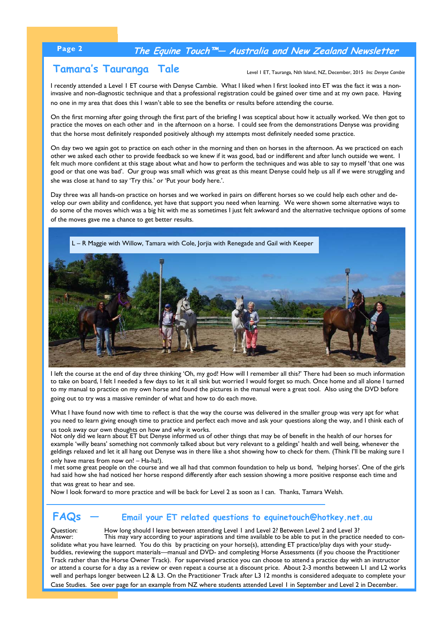## **Page 2 The Equine Touch™— Australia and New Zealand Newsletter**

## **Tamara's Tauranga Tale**

Level 1 ET, Tauranga, Nth Island, NZ, December, 2015 *Ins: Denyse Cambie*

I recently attended a Level 1 ET course with Denyse Cambie. What I liked when I first looked into ET was the fact it was a noninvasive and non-diagnostic technique and that a professional registration could be gained over time and at my own pace. Having no one in my area that does this I wasn't able to see the benefits or results before attending the course.

On the first morning after going through the first part of the briefing I was sceptical about how it actually worked. We then got to practice the moves on each other and in the afternoon on a horse. I could see from the demonstrations Denyse was providing that the horse most definitely responded positively although my attempts most definitely needed some practice.

On day two we again got to practice on each other in the morning and then on horses in the afternoon. As we practiced on each other we asked each other to provide feedback so we knew if it was good, bad or indifferent and after lunch outside we went. I felt much more confident at this stage about what and how to perform the techniques and was able to say to myself 'that one was good or that one was bad'. Our group was small which was great as this meant Denyse could help us all if we were struggling and she was close at hand to say 'Try this.' or 'Put your body here.'.

Day three was all hands-on practice on horses and we worked in pairs on different horses so we could help each other and develop our own ability and confidence, yet have that support you need when learning. We were shown some alternative ways to do some of the moves which was a big hit with me as sometimes I just felt awkward and the alternative technique options of some of the moves gave me a chance to get better results.



I left the course at the end of day three thinking 'Oh, my god! How will I remember all this?' There had been so much information to take on board, I felt I needed a few days to let it all sink but worried I would forget so much. Once home and all alone I turned to my manual to practice on my own horse and found the pictures in the manual were a great tool. Also using the DVD before going out to try was a massive reminder of what and how to do each move.

What I have found now with time to reflect is that the way the course was delivered in the smaller group was very apt for what you need to learn giving enough time to practice and perfect each move and ask your questions along the way, and I think each of us took away our own thoughts on how and why it works.

Not only did we learn about ET but Denyse informed us of other things that may be of benefit in the health of our horses for example 'willy beans' something not commonly talked about but very relevant to a geldings' health and well being, whenever the geldings relaxed and let it all hang out Denyse was in there like a shot showing how to check for them. (Think I'll be making sure I only have mares from now on! – Ha-ha!).

I met some great people on the course and we all had that common foundation to help us bond, 'helping horses'. One of the girls had said how she had noticed her horse respond differently after each session showing a more positive response each time and that was great to hear and see.

Now I look forward to more practice and will be back for Level 2 as soon as I can. Thanks, Tamara Welsh.

### **FAQs — Email your ET related questions to equinetouch@hotkey.net.au**

Question: How long should I leave between attending Level 1 and Level 2? Between Level 2 and Level 3?<br>Answer: This may vary according to your aspirations and time available to be able to put in the practice This may vary according to your aspirations and time available to be able to put in the practice needed to consolidate what you have learned. You do this by practicing on your horse(s), attending ET practice/play days with your studybuddies, reviewing the support materials—manual and DVD- and completing Horse Assessments (if you choose the Practitioner Track rather than the Horse Owner Track). For supervised practice you can choose to attend a practice day with an instructor or attend a course for a day as a review or even repeat a course at a discount price. About 2-3 months between L1 and L2 works well and perhaps longer between L2 & L3. On the Practitioner Track after L3 12 months is considered adequate to complete your Case Studies. See over page for an example from NZ where students attended Level 1 in September and Level 2 in December.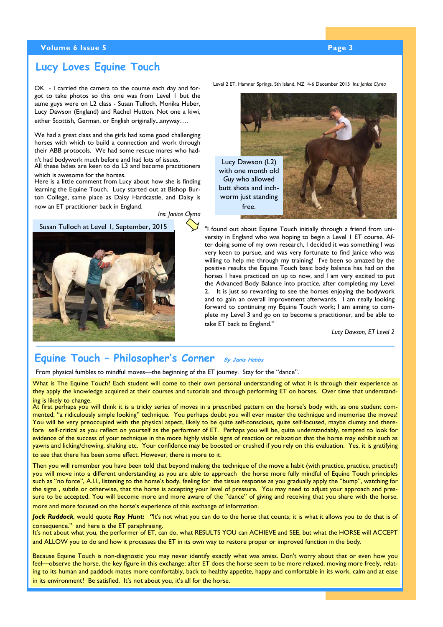#### **Volume 6 Issue 5 Page 3 According to the Contract of Contract Contract of Page 3**

## **Lucy Loves Equine Touch**

OK - I carried the camera to the course each day and forgot to take photos so this one was from Level 1 but the same guys were on L2 class - Susan Tulloch, Monika Huber, Lucy Dawson (England) and Rachel Hutton. Not one a kiwi, either Scottish, German, or English originally...anyway….

We had a great class and the girls had some good challenging horses with which to build a connection and work through their ABB protocols. We had some rescue mares who hadn't had bodywork much before and had lots of issues.

All these ladies are keen to do L3 and become practitioners which is awesome for the horses.

Here is a little comment from Lucy about how she is finding learning the Equine Touch. Lucy started out at Bishop Burton College, same place as Daisy Hardcastle, and Daisy is now an ET practitioner back in England.

*Ins: Janice Clyma* 



Level 2 ET, Hamner Springs, Sth Island, NZ 4-6 December 2015 *Ins: Janice Clyma*



"I found out about Equine Touch initially through a friend from university in England who was hoping to begin a Level 1 ET course. After doing some of my own research, I decided it was something I was very keen to pursue, and was very fortunate to find Janice who was willing to help me through my training! I've been so amazed by the positive results the Equine Touch basic body balance has had on the horses I have practiced on up to now, and I am very excited to put the Advanced Body Balance into practice, after completing my Level 2. It is just so rewarding to see the horses enjoying the bodywork and to gain an overall improvement afterwards. I am really looking forward to continuing my Equine Touch work; I am aiming to complete my Level 3 and go on to become a practitioner, and be able to take ET back to England."

*Lucy Dawson, ET Level 2* 

## **Equine Touch – Philosopher's Corner By Janis Hobbs**

From physical fumbles to mindful moves—the beginning of the ET journey. Stay for the "dance".

What is The Equine Touch? Each student will come to their own personal understanding of what it is through their experience as they apply the knowledge acquired at their courses and tutorials and through performing ET on horses. Over time that understanding is likely to change.

At first perhaps you will think it is a tricky series of moves in a prescribed pattern on the horse's body with, as one student commented, "a ridiculously simple looking" technique. You perhaps doubt you will ever master the technique and memorise the moves! You will be very preoccupied with the physical aspect, likely to be quite self-conscious, quite self-focused, maybe clumsy and therefore self-critical as you reflect on yourself as the performer of ET. Perhaps you will be, quite understandably, tempted to look for evidence of the success of your technique in the more highly visible signs of reaction or relaxation that the horse may exhibit such as yawns and licking/chewing, shaking etc. Your confidence may be boosted or crushed if you rely on this evaluation. Yes, it is gratifying to see that there has been some effect. However, there is more to it.

Then you will remember you have been told that beyond making the technique of the move a habit (with practice, practice, practice!) you will move into a different understanding as you are able to approach the horse more fully mindful of Equine Touch principles such as "no force", A.I.I., listening to the horse's body, feeling for the tissue response as you gradually apply the "bump", watching for the signs , subtle or otherwise, that the horse is accepting your level of pressure. You may need to adjust your approach and pressure to be accepted. You will become more and more aware of the "dance" of giving and receiving that you share with the horse, more and more focused on the horse's experience of this exchange of information.

*Jock Ruddock*, would quote *Ray Hunt: "*It's not what you can do to the horse that counts; it is what it allows you to do that is of consequence." and here is the ET paraphrasing.

It's not about what you, the performer of ET, can do, what RESULTS YOU can ACHIEVE and SEE, but what the HORSE will ACCEPT and ALLOW you to do and how it processes the ET in its own way to restore proper or improved function in the body.

Because Equine Touch is non-diagnostic you may never identify exactly what was amiss. Don't worry about that or even how you feel—observe the horse, the key figure in this exchange; after ET does the horse seem to be more relaxed, moving more freely, relating to its human and paddock mates more comfortably, back to healthy appetite, happy and comfortable in its work, calm and at ease in its environment? Be satisfied. It's not about you, it's all for the horse.